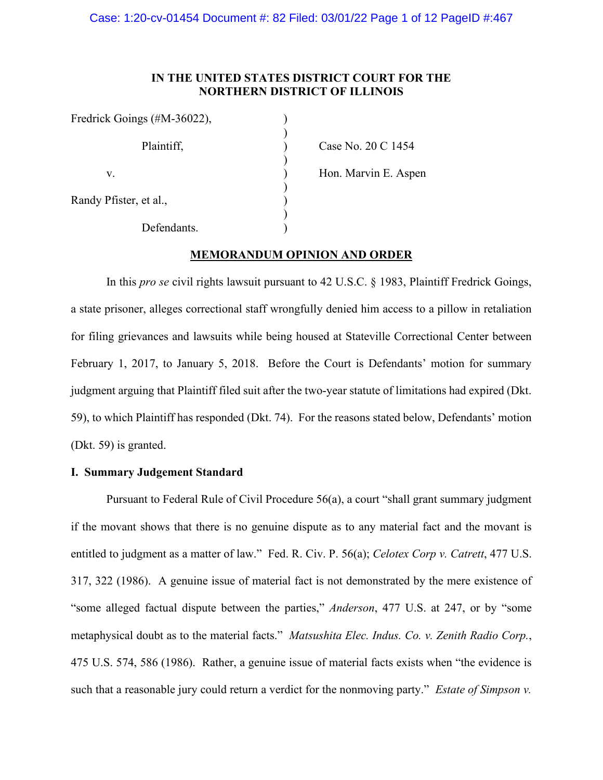# **IN THE UNITED STATES DISTRICT COURT FOR THE NORTHERN DISTRICT OF ILLINOIS**

| Fredrick Goings (#M-36022), |  |
|-----------------------------|--|
| Plaintiff,                  |  |
| V.                          |  |
| Randy Pfister, et al.,      |  |
| Defendants.                 |  |

Case No. 20 C 1454

Hon. Marvin E. Aspen

## **MEMORANDUM OPINION AND ORDER**

In this *pro se* civil rights lawsuit pursuant to 42 U.S.C. § 1983, Plaintiff Fredrick Goings, a state prisoner, alleges correctional staff wrongfully denied him access to a pillow in retaliation for filing grievances and lawsuits while being housed at Stateville Correctional Center between February 1, 2017, to January 5, 2018. Before the Court is Defendants' motion for summary judgment arguing that Plaintiff filed suit after the two-year statute of limitations had expired (Dkt. 59), to which Plaintiff has responded (Dkt. 74). For the reasons stated below, Defendants' motion (Dkt. 59) is granted.

### **I. Summary Judgement Standard**

Pursuant to Federal Rule of Civil Procedure 56(a), a court "shall grant summary judgment if the movant shows that there is no genuine dispute as to any material fact and the movant is entitled to judgment as a matter of law." Fed. R. Civ. P. 56(a); *Celotex Corp v. Catrett*, 477 U.S. 317, 322 (1986). A genuine issue of material fact is not demonstrated by the mere existence of "some alleged factual dispute between the parties," *Anderson*, 477 U.S. at 247, or by "some metaphysical doubt as to the material facts." *Matsushita Elec. Indus. Co. v. Zenith Radio Corp.*, 475 U.S. 574, 586 (1986). Rather, a genuine issue of material facts exists when "the evidence is such that a reasonable jury could return a verdict for the nonmoving party." *Estate of Simpson v.*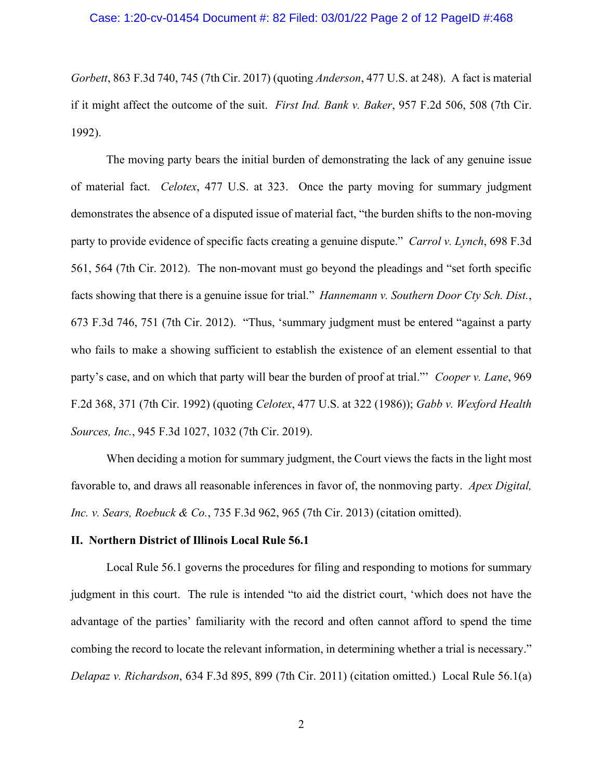### Case: 1:20-cv-01454 Document #: 82 Filed: 03/01/22 Page 2 of 12 PageID #:468

*Gorbett*, 863 F.3d 740, 745 (7th Cir. 2017) (quoting *Anderson*, 477 U.S. at 248). A fact is material if it might affect the outcome of the suit. *First Ind. Bank v. Baker*, 957 F.2d 506, 508 (7th Cir. 1992).

The moving party bears the initial burden of demonstrating the lack of any genuine issue of material fact. *Celotex*, 477 U.S. at 323. Once the party moving for summary judgment demonstrates the absence of a disputed issue of material fact, "the burden shifts to the non-moving party to provide evidence of specific facts creating a genuine dispute." *Carrol v. Lynch*, 698 F.3d 561, 564 (7th Cir. 2012). The non-movant must go beyond the pleadings and "set forth specific facts showing that there is a genuine issue for trial." *Hannemann v. Southern Door Cty Sch. Dist.*, 673 F.3d 746, 751 (7th Cir. 2012). "Thus, 'summary judgment must be entered "against a party who fails to make a showing sufficient to establish the existence of an element essential to that party's case, and on which that party will bear the burden of proof at trial."' *Cooper v. Lane*, 969 F.2d 368, 371 (7th Cir. 1992) (quoting *Celotex*, 477 U.S. at 322 (1986)); *Gabb v. Wexford Health Sources, Inc.*, 945 F.3d 1027, 1032 (7th Cir. 2019).

When deciding a motion for summary judgment, the Court views the facts in the light most favorable to, and draws all reasonable inferences in favor of, the nonmoving party. *Apex Digital, Inc. v. Sears, Roebuck & Co.*, 735 F.3d 962, 965 (7th Cir. 2013) (citation omitted).

#### **II. Northern District of Illinois Local Rule 56.1**

Local Rule 56.1 governs the procedures for filing and responding to motions for summary judgment in this court. The rule is intended "to aid the district court, 'which does not have the advantage of the parties' familiarity with the record and often cannot afford to spend the time combing the record to locate the relevant information, in determining whether a trial is necessary." *Delapaz v. Richardson*, 634 F.3d 895, 899 (7th Cir. 2011) (citation omitted.) Local Rule 56.1(a)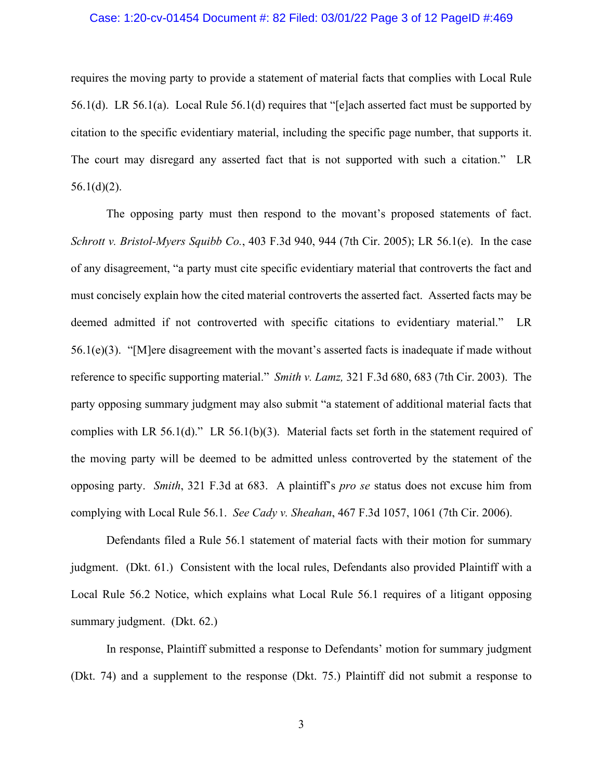### Case: 1:20-cv-01454 Document #: 82 Filed: 03/01/22 Page 3 of 12 PageID #:469

requires the moving party to provide a statement of material facts that complies with Local Rule 56.1(d). LR 56.1(a). Local Rule 56.1(d) requires that "[e]ach asserted fact must be supported by citation to the specific evidentiary material, including the specific page number, that supports it. The court may disregard any asserted fact that is not supported with such a citation." LR  $56.1(d)(2)$ .

The opposing party must then respond to the movant's proposed statements of fact. *[Schrott v. Bristol-Myers Squibb Co.](https://web2.westlaw.com/find/default.wl?mt=Westlaw&db=0000506&tc=-1&rp=%2ffind%2fdefault.wl&findtype=Y&ordoc=2036243492&serialnum=2006464425&vr=2.0&fn=_top&sv=Split&tf=-1&referencepositiontype=S&pbc=5AA5E9CC&referenceposition=944&rs=WLW15.04)*, 403 F.3d 940, 944 (7th Cir. 2005); LR 56.1(e). In the case of any disagreement, "a party must cite specific evidentiary material that controverts the fact and must concisely explain how the cited material controverts the asserted fact. Asserted facts may be deemed admitted if not controverted with specific citations to evidentiary material." LR 56.1(e)(3). "[M]ere disagreement with the movant's asserted facts is inadequate if made without reference to specific supporting material." *Smith v. Lamz,* [321 F.3d 680, 683 \(7th Cir. 2003\).](https://web2.westlaw.com/find/default.wl?mt=Westlaw&db=0000506&tc=-1&rp=%2ffind%2fdefault.wl&findtype=Y&ordoc=2036243492&serialnum=2003193643&vr=2.0&fn=_top&sv=Split&tf=-1&referencepositiontype=S&pbc=5AA5E9CC&referenceposition=683&rs=WLW15.04) The party opposing summary judgment may also submit "a statement of additional material facts that complies with LR 56.1(d)." LR 56.1(b)(3). Material facts set forth in the statement required of the moving party will be deemed to be admitted unless controverted by the statement of the opposing party. *Smith*, 321 F.3d at 683. A plaintiff's *pro se* status does not excuse him from complying with Local Rule 56.1. *See Cady v. Sheahan*, 467 F.3d 1057, 1061 (7th Cir. 2006).

Defendants filed a Rule 56.1 statement of material facts with their motion for summary judgment. (Dkt. 61.) Consistent with the local rules, Defendants also provided Plaintiff with a Local Rule 56.2 Notice, which explains what Local Rule 56.1 requires of a litigant opposing summary judgment. (Dkt. 62.)

In response, Plaintiff submitted a response to Defendants' motion for summary judgment (Dkt. 74) and a supplement to the response (Dkt. 75.) Plaintiff did not submit a response to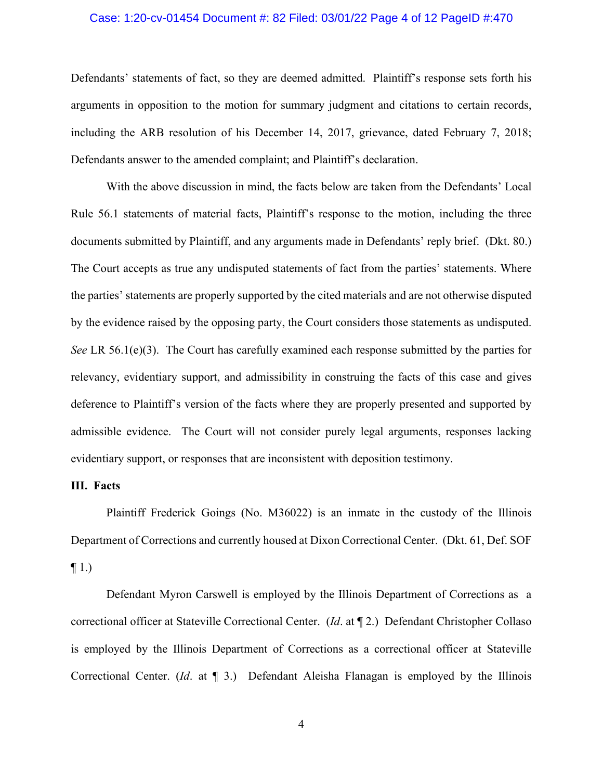### Case: 1:20-cv-01454 Document #: 82 Filed: 03/01/22 Page 4 of 12 PageID #:470

Defendants' statements of fact, so they are deemed admitted. Plaintiff's response sets forth his arguments in opposition to the motion for summary judgment and citations to certain records, including the ARB resolution of his December 14, 2017, grievance, dated February 7, 2018; Defendants answer to the amended complaint; and Plaintiff's declaration.

With the above discussion in mind, the facts below are taken from the Defendants' Local Rule 56.1 statements of material facts, Plaintiff's response to the motion, including the three documents submitted by Plaintiff, and any arguments made in Defendants' reply brief. (Dkt. 80.) The Court accepts as true any undisputed statements of fact from the parties' statements. Where the parties' statements are properly supported by the cited materials and are not otherwise disputed by the evidence raised by the opposing party, the Court considers those statements as undisputed. *See* LR 56.1(e)(3). The Court has carefully examined each response submitted by the parties for relevancy, evidentiary support, and admissibility in construing the facts of this case and gives deference to Plaintiff's version of the facts where they are properly presented and supported by admissible evidence. The Court will not consider purely legal arguments, responses lacking evidentiary support, or responses that are inconsistent with deposition testimony.

### **III. Facts**

Plaintiff Frederick Goings (No. M36022) is an inmate in the custody of the Illinois Department of Corrections and currently housed at Dixon Correctional Center. (Dkt. 61, Def. SOF  $\P$  1.)

Defendant Myron Carswell is employed by the Illinois Department of Corrections as a correctional officer at Stateville Correctional Center. (*Id*. at ¶ 2.) Defendant Christopher Collaso is employed by the Illinois Department of Corrections as a correctional officer at Stateville Correctional Center. (*Id*. at ¶ 3.) Defendant Aleisha Flanagan is employed by the Illinois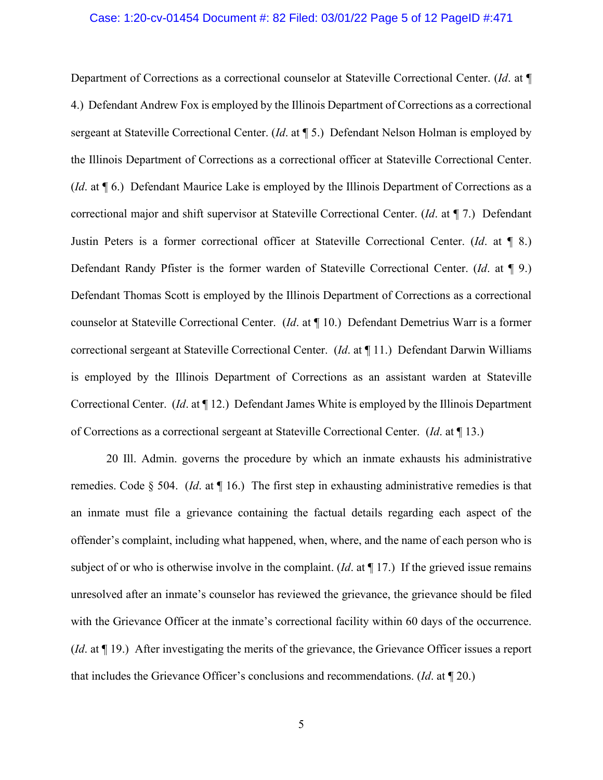### Case: 1:20-cv-01454 Document #: 82 Filed: 03/01/22 Page 5 of 12 PageID #:471

Department of Corrections as a correctional counselor at Stateville Correctional Center. (*Id*. at ¶ 4.) Defendant Andrew Fox is employed by the Illinois Department of Corrections as a correctional sergeant at Stateville Correctional Center. (*Id*. at ¶ 5.) Defendant Nelson Holman is employed by the Illinois Department of Corrections as a correctional officer at Stateville Correctional Center. (*Id*. at ¶ 6.) Defendant Maurice Lake is employed by the Illinois Department of Corrections as a correctional major and shift supervisor at Stateville Correctional Center. (*Id*. at ¶ 7.) Defendant Justin Peters is a former correctional officer at Stateville Correctional Center. (*Id*. at ¶ 8.) Defendant Randy Pfister is the former warden of Stateville Correctional Center. (*Id*. at ¶ 9.) Defendant Thomas Scott is employed by the Illinois Department of Corrections as a correctional counselor at Stateville Correctional Center. (*Id*. at ¶ 10.) Defendant Demetrius Warr is a former correctional sergeant at Stateville Correctional Center. (*Id*. at ¶ 11.) Defendant Darwin Williams is employed by the Illinois Department of Corrections as an assistant warden at Stateville Correctional Center. (*Id*. at ¶ 12.) Defendant James White is employed by the Illinois Department of Corrections as a correctional sergeant at Stateville Correctional Center. (*Id*. at ¶ 13.)

20 Ill. Admin. governs the procedure by which an inmate exhausts his administrative remedies. Code § 504. (*Id*. at ¶ 16.) The first step in exhausting administrative remedies is that an inmate must file a grievance containing the factual details regarding each aspect of the offender's complaint, including what happened, when, where, and the name of each person who is subject of or who is otherwise involve in the complaint. (*Id*. at ¶ 17.) If the grieved issue remains unresolved after an inmate's counselor has reviewed the grievance, the grievance should be filed with the Grievance Officer at the inmate's correctional facility within 60 days of the occurrence. (*Id*. at ¶ 19.) After investigating the merits of the grievance, the Grievance Officer issues a report that includes the Grievance Officer's conclusions and recommendations. (*Id*. at ¶ 20.)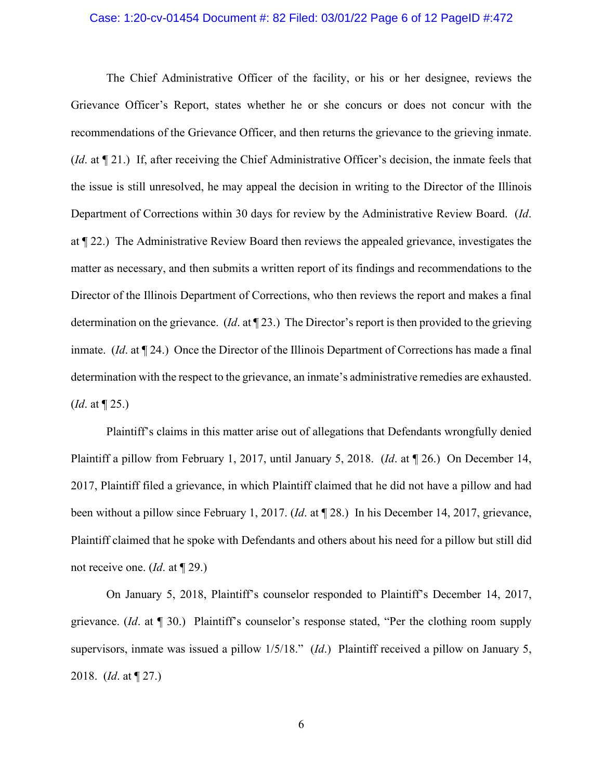#### Case: 1:20-cv-01454 Document #: 82 Filed: 03/01/22 Page 6 of 12 PageID #:472

The Chief Administrative Officer of the facility, or his or her designee, reviews the Grievance Officer's Report, states whether he or she concurs or does not concur with the recommendations of the Grievance Officer, and then returns the grievance to the grieving inmate. (*Id*. at ¶ 21.) If, after receiving the Chief Administrative Officer's decision, the inmate feels that the issue is still unresolved, he may appeal the decision in writing to the Director of the Illinois Department of Corrections within 30 days for review by the Administrative Review Board. (*Id*. at ¶ 22.) The Administrative Review Board then reviews the appealed grievance, investigates the matter as necessary, and then submits a written report of its findings and recommendations to the Director of the Illinois Department of Corrections, who then reviews the report and makes a final determination on the grievance. (*Id*. at ¶ 23.) The Director's report is then provided to the grieving inmate. (*Id*. at ¶ 24.) Once the Director of the Illinois Department of Corrections has made a final determination with the respect to the grievance, an inmate's administrative remedies are exhausted. (*Id*. at ¶ 25.)

Plaintiff's claims in this matter arise out of allegations that Defendants wrongfully denied Plaintiff a pillow from February 1, 2017, until January 5, 2018. (*Id*. at ¶ 26.) On December 14, 2017, Plaintiff filed a grievance, in which Plaintiff claimed that he did not have a pillow and had been without a pillow since February 1, 2017. (*Id*. at ¶ 28.) In his December 14, 2017, grievance, Plaintiff claimed that he spoke with Defendants and others about his need for a pillow but still did not receive one. (*Id*. at ¶ 29.)

On January 5, 2018, Plaintiff's counselor responded to Plaintiff's December 14, 2017, grievance. (*Id*. at ¶ 30.) Plaintiff's counselor's response stated, "Per the clothing room supply supervisors, inmate was issued a pillow 1/5/18." (*Id*.) Plaintiff received a pillow on January 5, 2018. (*Id*. at ¶ 27.)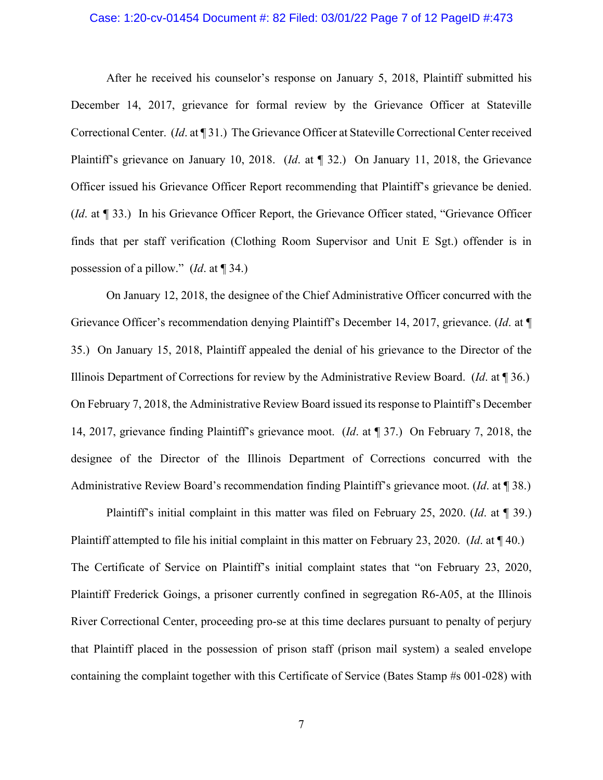#### Case: 1:20-cv-01454 Document #: 82 Filed: 03/01/22 Page 7 of 12 PageID #:473

After he received his counselor's response on January 5, 2018, Plaintiff submitted his December 14, 2017, grievance for formal review by the Grievance Officer at Stateville Correctional Center. (*Id*. at ¶ 31.) The Grievance Officer at Stateville Correctional Center received Plaintiff's grievance on January 10, 2018. (*Id*. at ¶ 32.) On January 11, 2018, the Grievance Officer issued his Grievance Officer Report recommending that Plaintiff's grievance be denied. (*Id*. at ¶ 33.) In his Grievance Officer Report, the Grievance Officer stated, "Grievance Officer finds that per staff verification (Clothing Room Supervisor and Unit E Sgt.) offender is in possession of a pillow." (*Id*. at ¶ 34.)

On January 12, 2018, the designee of the Chief Administrative Officer concurred with the Grievance Officer's recommendation denying Plaintiff's December 14, 2017, grievance. (*Id*. at ¶ 35.) On January 15, 2018, Plaintiff appealed the denial of his grievance to the Director of the Illinois Department of Corrections for review by the Administrative Review Board. (*Id*. at ¶ 36.) On February 7, 2018, the Administrative Review Board issued its response to Plaintiff's December 14, 2017, grievance finding Plaintiff's grievance moot. (*Id*. at ¶ 37.) On February 7, 2018, the designee of the Director of the Illinois Department of Corrections concurred with the Administrative Review Board's recommendation finding Plaintiff's grievance moot. (*Id*. at ¶ 38.)

Plaintiff's initial complaint in this matter was filed on February 25, 2020. (*Id*. at ¶ 39.) Plaintiff attempted to file his initial complaint in this matter on February 23, 2020. (*Id*. at ¶ 40.) The Certificate of Service on Plaintiff's initial complaint states that "on February 23, 2020, Plaintiff Frederick Goings, a prisoner currently confined in segregation R6-A05, at the Illinois River Correctional Center, proceeding pro-se at this time declares pursuant to penalty of perjury that Plaintiff placed in the possession of prison staff (prison mail system) a sealed envelope containing the complaint together with this Certificate of Service (Bates Stamp #s 001-028) with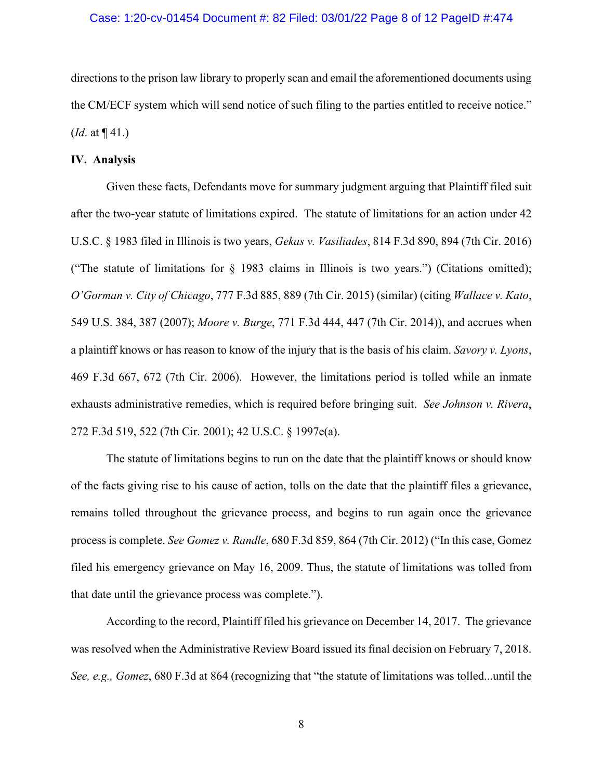### Case: 1:20-cv-01454 Document #: 82 Filed: 03/01/22 Page 8 of 12 PageID #:474

directions to the prison law library to properly scan and email the aforementioned documents using the CM/ECF system which will send notice of such filing to the parties entitled to receive notice." (*Id*. at ¶ 41.)

## **IV. Analysis**

Given these facts, Defendants move for summary judgment arguing that Plaintiff filed suit after the two-year statute of limitations expired. The statute of limitations for an action under 42 U.S.C. § 1983 filed in Illinois is two years, *Gekas v. Vasiliades*, 814 F.3d 890, 894 (7th Cir. 2016) ("The statute of limitations for § 1983 claims in Illinois is two years.") (Citations omitted); *O'Gorman v. City of Chicago*, 777 F.3d 885, 889 (7th Cir. 2015) (similar) (citing *Wallace v. Kato*, 549 U.S. 384, 387 (2007); *Moore v. Burge*, 771 F.3d 444, 447 (7th Cir. 2014)), and accrues when a plaintiff knows or has reason to know of the injury that is the basis of his claim. *Savory v. Lyons*, 469 F.3d 667, 672 (7th Cir. 2006). However, the limitations period is tolled while an inmate exhausts administrative remedies, which is required before bringing suit. *See Johnson v. Rivera*, 272 F.3d 519, 522 (7th Cir. 2001); 42 U.S.C. § 1997e(a).

The statute of limitations begins to run on the date that the plaintiff knows or should know of the facts giving rise to his cause of action, tolls on the date that the plaintiff files a grievance, remains tolled throughout the grievance process, and begins to run again once the grievance process is complete. *See Gomez v. Randle*, 680 F.3d 859, 864 (7th Cir. 2012) ("In this case, Gomez filed his emergency grievance on May 16, 2009. Thus, the statute of limitations was tolled from that date until the grievance process was complete.").

According to the record, Plaintiff filed his grievance on December 14, 2017. The grievance was resolved when the Administrative Review Board issued its final decision on February 7, 2018. *See, e.g., Gomez*, 680 F.3d at 864 (recognizing that "the statute of limitations was tolled...until the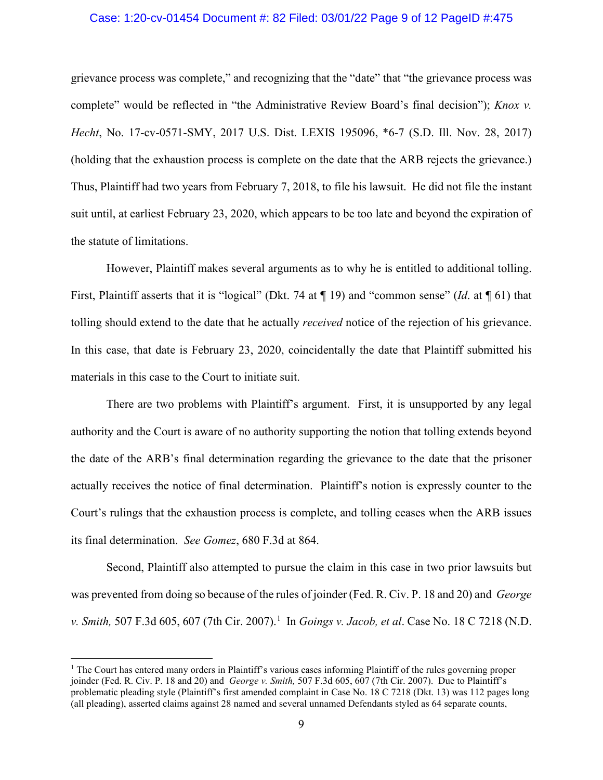### Case: 1:20-cv-01454 Document #: 82 Filed: 03/01/22 Page 9 of 12 PageID #:475

grievance process was complete," and recognizing that the "date" that "the grievance process was complete" would be reflected in "the Administrative Review Board's final decision"); *Knox v. Hecht*, No. 17-cv-0571-SMY, 2017 U.S. Dist. LEXIS 195096, \*6-7 (S.D. Ill. Nov. 28, 2017) (holding that the exhaustion process is complete on the date that the ARB rejects the grievance.) Thus, Plaintiff had two years from February 7, 2018, to file his lawsuit. He did not file the instant suit until, at earliest February 23, 2020, which appears to be too late and beyond the expiration of the statute of limitations.

However, Plaintiff makes several arguments as to why he is entitled to additional tolling. First, Plaintiff asserts that it is "logical" (Dkt. 74 at ¶ 19) and "common sense" (*Id*. at ¶ 61) that tolling should extend to the date that he actually *received* notice of the rejection of his grievance. In this case, that date is February 23, 2020, coincidentally the date that Plaintiff submitted his materials in this case to the Court to initiate suit.

There are two problems with Plaintiff's argument. First, it is unsupported by any legal authority and the Court is aware of no authority supporting the notion that tolling extends beyond the date of the ARB's final determination regarding the grievance to the date that the prisoner actually receives the notice of final determination. Plaintiff's notion is expressly counter to the Court's rulings that the exhaustion process is complete, and tolling ceases when the ARB issues its final determination. *See Gomez*, 680 F.3d at 864.

Second, Plaintiff also attempted to pursue the claim in this case in two prior lawsuits but was prevented from doing so because of the rules of joinder (Fed. R. Civ. P. 18 and 20) and *George v. Smith,* 507 F.3d 605, 607 (7th Cir. 2007). [1](#page-8-0) In *Goings v. Jacob, et al*. Case No. 18 C 7218 (N.D.

<span id="page-8-0"></span><sup>&</sup>lt;sup>1</sup> The Court has entered many orders in Plaintiff's various cases informing Plaintiff of the rules governing proper joinder (Fed. R. Civ. P. 18 and 20) and *George v. Smith,* 507 F.3d 605, 607 (7th Cir. 2007). Due to Plaintiff's problematic pleading style (Plaintiff's first amended complaint in Case No. 18 C 7218 (Dkt. 13) was 112 pages long (all pleading), asserted claims against 28 named and several unnamed Defendants styled as 64 separate counts,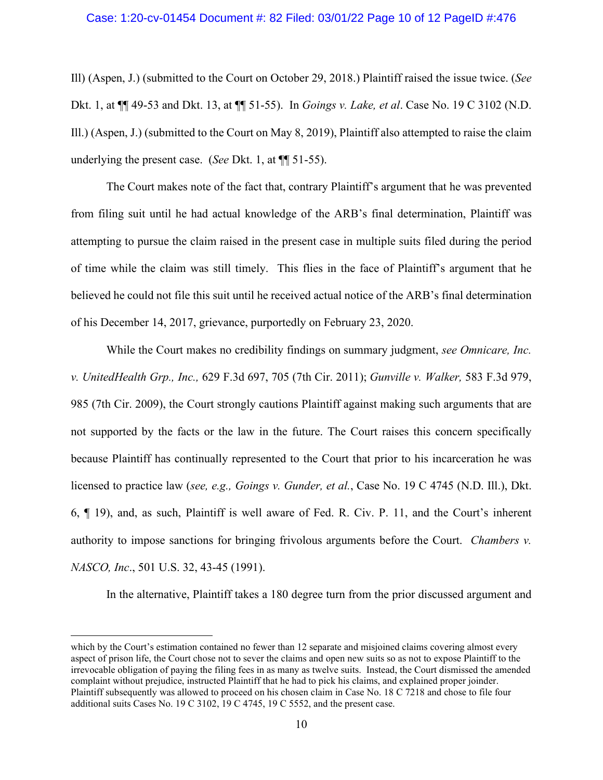## Case: 1:20-cv-01454 Document #: 82 Filed: 03/01/22 Page 10 of 12 PageID #:476

Ill) (Aspen, J.) (submitted to the Court on October 29, 2018.) Plaintiff raised the issue twice. (*See* Dkt. 1, at ¶¶ 49-53 and Dkt. 13, at ¶¶ 51-55). In *Goings v. Lake, et al*. Case No. 19 C 3102 (N.D. Ill.) (Aspen, J.) (submitted to the Court on May 8, 2019), Plaintiff also attempted to raise the claim underlying the present case. (*See* Dkt. 1, at ¶¶ 51-55).

The Court makes note of the fact that, contrary Plaintiff's argument that he was prevented from filing suit until he had actual knowledge of the ARB's final determination, Plaintiff was attempting to pursue the claim raised in the present case in multiple suits filed during the period of time while the claim was still timely. This flies in the face of Plaintiff's argument that he believed he could not file this suit until he received actual notice of the ARB's final determination of his December 14, 2017, grievance, purportedly on February 23, 2020.

While the Court makes no credibility findings on summary judgment, *see Omnicare, Inc. v. UnitedHealth Grp., Inc.,* 629 F.3d 697, 705 (7th Cir. 2011); *Gunville v. Walker,* 583 F.3d 979, 985 (7th Cir. 2009), the Court strongly cautions Plaintiff against making such arguments that are not supported by the facts or the law in the future. The Court raises this concern specifically because Plaintiff has continually represented to the Court that prior to his incarceration he was licensed to practice law (*see, e.g., Goings v. Gunder, et al.*, Case No. 19 C 4745 (N.D. Ill.), Dkt. 6, ¶ 19), and, as such, Plaintiff is well aware of Fed. R. Civ. P. 11, and the Court's inherent authority to impose sanctions for bringing frivolous arguments before the Court. *Chambers v. NASCO, Inc*., 501 U.S. 32, 43-45 (1991).

In the alternative, Plaintiff takes a 180 degree turn from the prior discussed argument and

which by the Court's estimation contained no fewer than 12 separate and misjoined claims covering almost every aspect of prison life, the Court chose not to sever the claims and open new suits so as not to expose Plaintiff to the irrevocable obligation of paying the filing fees in as many as twelve suits. Instead, the Court dismissed the amended complaint without prejudice, instructed Plaintiff that he had to pick his claims, and explained proper joinder. Plaintiff subsequently was allowed to proceed on his chosen claim in Case No. 18 C 7218 and chose to file four additional suits Cases No. 19 C 3102, 19 C 4745, 19 C 5552, and the present case.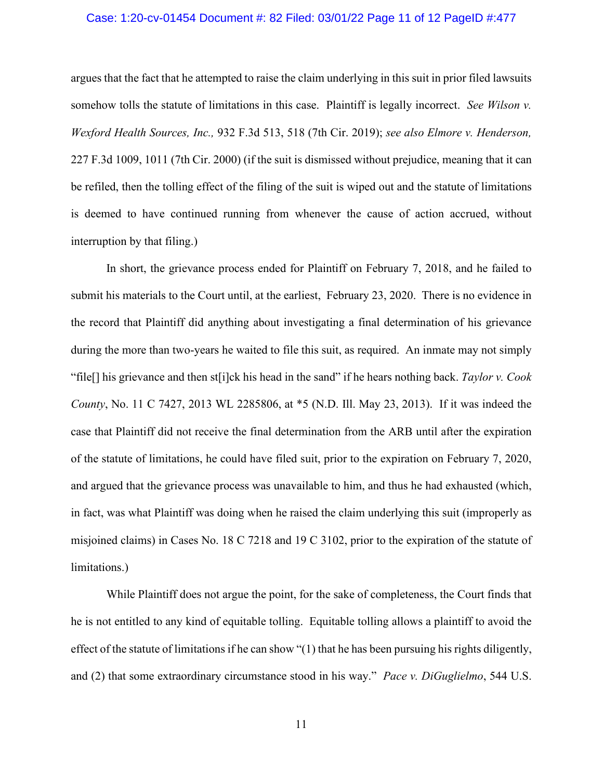### Case: 1:20-cv-01454 Document #: 82 Filed: 03/01/22 Page 11 of 12 PageID #:477

argues that the fact that he attempted to raise the claim underlying in this suit in prior filed lawsuits somehow tolls the statute of limitations in this case. Plaintiff is legally incorrect. *See Wilson v. Wexford Health Sources, Inc.,* 932 F.3d 513, 518 (7th Cir. 2019); *see also Elmore v. Henderson,*  227 F.3d 1009, 1011 (7th Cir. 2000) (if the suit is dismissed without prejudice, meaning that it can be refiled, then the tolling effect of the filing of the suit is wiped out and the statute of limitations is deemed to have continued running from whenever the cause of action accrued, without interruption by that filing.)

In short, the grievance process ended for Plaintiff on February 7, 2018, and he failed to submit his materials to the Court until, at the earliest, February 23, 2020. There is no evidence in the record that Plaintiff did anything about investigating a final determination of his grievance during the more than two-years he waited to file this suit, as required. An inmate may not simply "file[] his grievance and then st[i]ck his head in the sand" if he hears nothing back. *Taylor v. Cook County*, No. 11 C 7427, 2013 WL 2285806, at \*5 (N.D. Ill. May 23, 2013). If it was indeed the case that Plaintiff did not receive the final determination from the ARB until after the expiration of the statute of limitations, he could have filed suit, prior to the expiration on February 7, 2020, and argued that the grievance process was unavailable to him, and thus he had exhausted (which, in fact, was what Plaintiff was doing when he raised the claim underlying this suit (improperly as misjoined claims) in Cases No. 18 C 7218 and 19 C 3102, prior to the expiration of the statute of limitations.)

While Plaintiff does not argue the point, for the sake of completeness, the Court finds that he is not entitled to any kind of equitable tolling. Equitable tolling allows a plaintiff to avoid the effect of the statute of limitations if he can show "(1) that he has been pursuing his rights diligently, and (2) that some extraordinary circumstance stood in his way." *Pace v. DiGuglielmo*, 544 U.S.